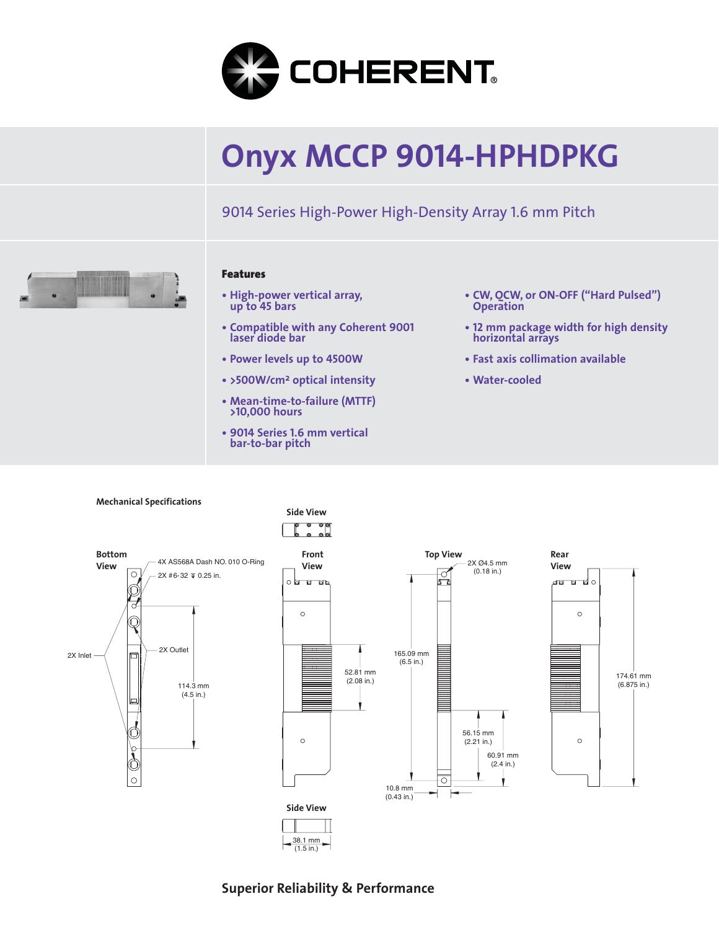

# **Onyx MCCP 9014-HPHDPKG**

9014 Series High-Power High-Density Array 1.6 mm Pitch



### **Features**

- **High-power vertical array, up to 45 bars**
- **Compatible with any Coherent 9001 laser diode bar**
- **Power levels up to 4500W**
- **>500W/cm<sup>2</sup> optical intensity**
- **Mean-time-to-failure (MTTF) >10,000 hours**
- **• 9014 Series 1.6 mm vertical bar-to-bar pitch**
- **CW, QCW, or ON-OFF ("Hard Pulsed") Operation**
- **• <sup>12</sup> mm package width for high density horizontal arrays**
- **Fast axis collimation available**
- **Water-cooled**



## **Superior Reliability & Performance**